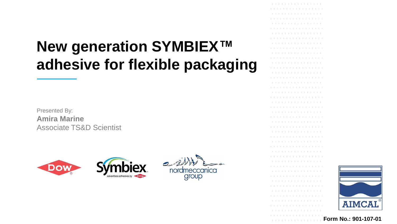# **New generation SYMBIEX™ adhesive for flexible packaging**

Presented By: **Amira Marine** Associate TS&D Scientist





. . . . . . . . . . . . . . . . . . . . . . . . . . . . . . . . . . . . . . . . . . . . . . . . . . . . . . . . . . . . . . . . . . . . . . . . . . . . . . . . . . . . . . . . . . . . . . . . . . . . . . . . . . . . . . . . . . . . . . . . . . . . . . . . . . . . . . . . . . . . . . . . . . . . . . . . . . . . . . . . . . . . . . . . . . . . . . . . . . . . . . . . . . . . . . . . . . . . . . . . . . . . . . . . . . . . . . . . . . . . . . . . . . . . . . . . . . . . . . . . . . . . . . . . . . . . . . . . . . . . . . . . . . . . . . . . . . . . . . . . . . . . . . . . . . . . . . . . . . . . . . . . . . . . . . . . . . . . . . . . . . . . . . . . . . . . . . . . . . . . . . . . . . . . . . . . . . . . . . . . . . . . . . . . . . . . . . . . . . . . . . . . . . . . . . . . . . . . . . . . . .



**Form No.: 901-107-01**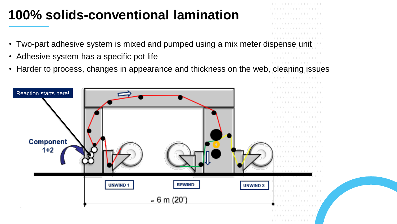### **100% solids-conventional lamination**

- Two-part adhesive system is mixed and pumped using a mix meter dispense
- Adhesive system has a specific pot life
- Harder to process, changes in appearance and thickness on the web, cleaning issues



. . . . . . . . . . . . . . . .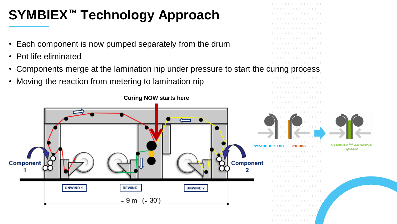# **SYMBIEX**™ **Technology Approach**

- Each component is now pumped separately from the drum
- Pot life eliminated
- Components merge at the lamination nip under pressure to start the curing process
- Moving the reaction from metering to lamination nip



. . . . . . . . . . . . . . . .

. . . . . . . . . . . . . .



SYMBIEX<sup>™</sup> Adhesive **System**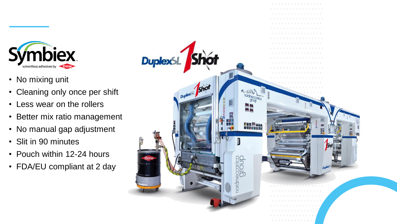

- No mixing unit
- Cleaning only once per shift
- Less wear on the rollers
- Better mix ratio management
- No manual gap adjustment
- Slit in 90 minutes
- Pouch within 12-24 hours
- FDA/EU compliant at 2 day

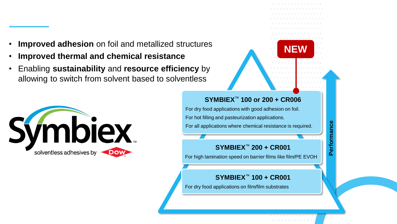- **Improved adhesion** on foil and metallized structures
- **Improved thermal and chemical resistance**
- Enabling **sustainability** and **resource efficiency** by allowing to switch from solvent based to solventless



#### **SYMBIEX**™ **100 or 200 + CR006**

For dry food applications with good adhesion on foil.

For hot filling and pasteurization applications.

For all applications where chemical resistance is required.

#### **SYMBIEX**™ **200 + CR001**

For high lamination speed on barrier films like film/PE EVOH

#### **SYMBIEX**™ **100 + CR001**

For dry food applications on film/film substrates

**NEW**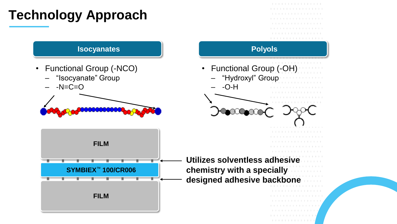## **Technology Approach**

- Functional Group (-NCO)
	- "Isocyanate" Group
	- $-N=C=O$







. . . . . . . . . . . . . . . . .

. . . . . . . . . . . . . .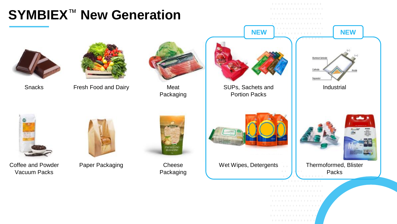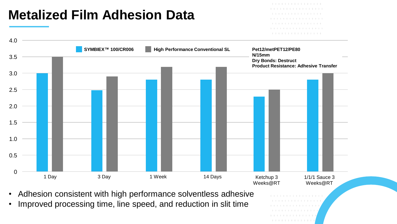#### **Metalized Film Adhesion Data**

. . . . . . . . . . . . . . . .

. . . . . . . . . . . . .



• Adhesion consistent with high performance solventless adhesive

• Improved processing time, line speed, and reduction in slit time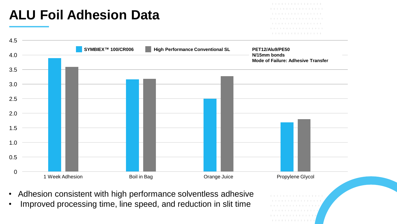

- Adhesion consistent with high performance solventless adhesive
- Improved processing time, line speed, and reduction in slit time

. . . . . . . . . . . . .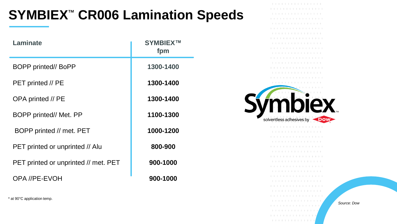### **SYMBIEX**™ **CR006 Lamination Speeds**

| Laminate                             | <b>SYMBIEXTM</b><br>fpm |
|--------------------------------------|-------------------------|
| <b>BOPP printed// BoPP</b>           | 1300-1400               |
| PET printed // PE                    | 1300-1400               |
| OPA printed // PE                    | 1300-1400               |
| BOPP printed// Met. PP               | 1100-1300               |
| BOPP printed // met. PET             | 1000-1200               |
| PET printed or unprinted // Alu      | 800-900                 |
| PET printed or unprinted // met. PET | 900-1000                |
| OPA //PE-EVOH                        | 900-1000                |

\* at 90°C application temp.

. . . . . . . . . . . . . . . . . . . . . . . . . . . . . . . . . . . . . . . . . . . . . . . . . . . . . . . . . . . . . . . . . . . . . . . . . . . . . . . . . . . . . . . . . . . . . . . . . . . . . . . . . . . . . . . . . . . . . . . . . . . . . . . . . . . . . . . . . . . . . . . . . . . . . . . . . . . . . . . . . . . . . . . . . . . . . . . . . . . . . . . . . . . . . . . . . . . . . . . . . . . . . . . . . . . . . . . . . . . . . . . . . . . . . . . . . . . . . . . . . . . . . . . . . . . . . . . . . . . . . . . . mbiex solventless adhesives by **DOW** . . . . . . . . . . . . . . . . . . . . . . . . . . . . . . . . . . . . . . . . . . . . . . . . . . . . . . . . . . . . . . . . . . . . . . . . . . . . . . . . . . . . . . . . . . . . . . . . . . . . . . . . . . . . . . . . . . . . . . . . . . . . . . . . . . . . . . . . . . . . . . . . . . . . . . . . . . . . . . . . . . . . . . . . . . . . . . . . . . . . . . . . . . . . . . . . . . . . . . . . . . . . . . . . . . . . . . . . . . . .

> . . . . . . . . . . . . . . . . . . . . . . . . . . . . . . . . . . . . . . . . . . . . . . . . . .

. . . . . . . . . . . . . . . . . . . . . . . . . . . . . . . . . . . . . . . . . . . . . . . . . . . . . . . . .

*Source: Dow*